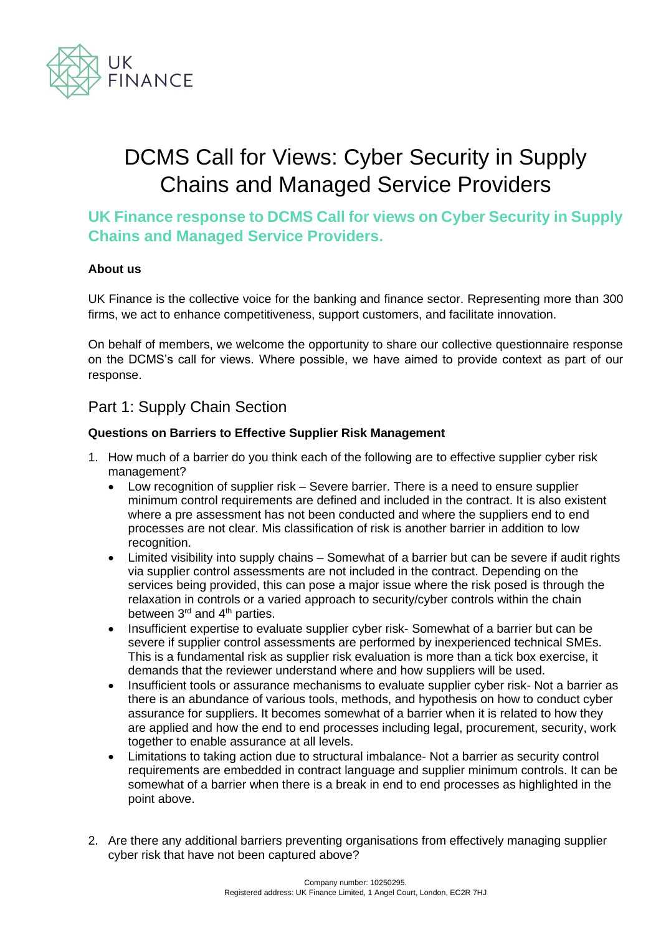

# DCMS Call for Views: Cyber Security in Supply Chains and Managed Service Providers

**UK Finance response to DCMS Call for views on Cyber Security in Supply Chains and Managed Service Providers.** 

#### **About us**

UK Finance is the collective voice for the banking and finance sector. Representing more than 300 firms, we act to enhance competitiveness, support customers, and facilitate innovation.

On behalf of members, we welcome the opportunity to share our collective questionnaire response on the DCMS's call for views. Where possible, we have aimed to provide context as part of our response.

# Part 1: Supply Chain Section

#### **Questions on Barriers to Effective Supplier Risk Management**

- 1. How much of a barrier do you think each of the following are to effective supplier cyber risk management?
	- Low recognition of supplier risk Severe barrier. There is a need to ensure supplier minimum control requirements are defined and included in the contract. It is also existent where a pre assessment has not been conducted and where the suppliers end to end processes are not clear. Mis classification of risk is another barrier in addition to low recognition.
	- Limited visibility into supply chains Somewhat of a barrier but can be severe if audit rights via supplier control assessments are not included in the contract. Depending on the services being provided, this can pose a major issue where the risk posed is through the relaxation in controls or a varied approach to security/cyber controls within the chain between  $3<sup>rd</sup>$  and  $4<sup>th</sup>$  parties.
	- Insufficient expertise to evaluate supplier cyber risk- Somewhat of a barrier but can be severe if supplier control assessments are performed by inexperienced technical SMEs. This is a fundamental risk as supplier risk evaluation is more than a tick box exercise, it demands that the reviewer understand where and how suppliers will be used.
	- Insufficient tools or assurance mechanisms to evaluate supplier cyber risk- Not a barrier as there is an abundance of various tools, methods, and hypothesis on how to conduct cyber assurance for suppliers. It becomes somewhat of a barrier when it is related to how they are applied and how the end to end processes including legal, procurement, security, work together to enable assurance at all levels.
	- Limitations to taking action due to structural imbalance- Not a barrier as security control requirements are embedded in contract language and supplier minimum controls. It can be somewhat of a barrier when there is a break in end to end processes as highlighted in the point above.
- 2. Are there any additional barriers preventing organisations from effectively managing supplier cyber risk that have not been captured above?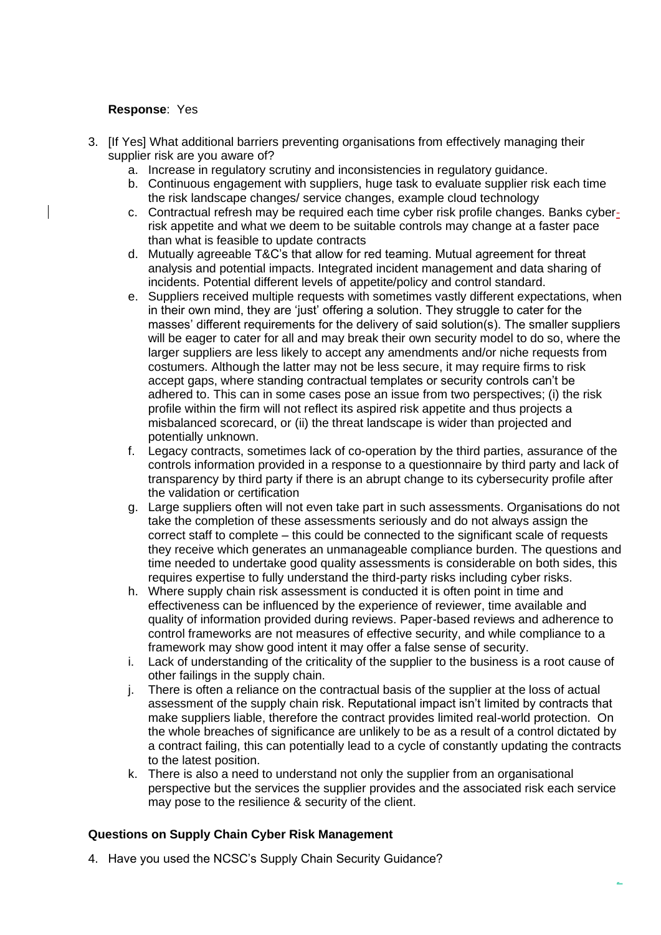### **Response**: Yes

- 3. [If Yes] What additional barriers preventing organisations from effectively managing their supplier risk are you aware of?
	- a. Increase in regulatory scrutiny and inconsistencies in regulatory guidance.
	- b. Continuous engagement with suppliers, huge task to evaluate supplier risk each time the risk landscape changes/ service changes, example cloud technology
	- c. Contractual refresh may be required each time cyber risk profile changes. Banks cyberrisk appetite and what we deem to be suitable controls may change at a faster pace than what is feasible to update contracts
	- d. Mutually agreeable T&C's that allow for red teaming. Mutual agreement for threat analysis and potential impacts. Integrated incident management and data sharing of incidents. Potential different levels of appetite/policy and control standard.
	- e. Suppliers received multiple requests with sometimes vastly different expectations, when in their own mind, they are 'just' offering a solution. They struggle to cater for the masses' different requirements for the delivery of said solution(s). The smaller suppliers will be eager to cater for all and may break their own security model to do so, where the larger suppliers are less likely to accept any amendments and/or niche requests from costumers. Although the latter may not be less secure, it may require firms to risk accept gaps, where standing contractual templates or security controls can't be adhered to. This can in some cases pose an issue from two perspectives; (i) the risk profile within the firm will not reflect its aspired risk appetite and thus projects a misbalanced scorecard, or (ii) the threat landscape is wider than projected and potentially unknown.
	- f. Legacy contracts, sometimes lack of co-operation by the third parties, assurance of the controls information provided in a response to a questionnaire by third party and lack of transparency by third party if there is an abrupt change to its cybersecurity profile after the validation or certification
	- g. Large suppliers often will not even take part in such assessments. Organisations do not take the completion of these assessments seriously and do not always assign the correct staff to complete – this could be connected to the significant scale of requests they receive which generates an unmanageable compliance burden. The questions and time needed to undertake good quality assessments is considerable on both sides, this requires expertise to fully understand the third-party risks including cyber risks.
	- h. Where supply chain risk assessment is conducted it is often point in time and effectiveness can be influenced by the experience of reviewer, time available and quality of information provided during reviews. Paper-based reviews and adherence to control frameworks are not measures of effective security, and while compliance to a framework may show good intent it may offer a false sense of security.
	- i. Lack of understanding of the criticality of the supplier to the business is a root cause of other failings in the supply chain.
	- j. There is often a reliance on the contractual basis of the supplier at the loss of actual assessment of the supply chain risk. Reputational impact isn't limited by contracts that make suppliers liable, therefore the contract provides limited real-world protection. On the whole breaches of significance are unlikely to be as a result of a control dictated by a contract failing, this can potentially lead to a cycle of constantly updating the contracts to the latest position.
	- k. There is also a need to understand not only the supplier from an organisational perspective but the services the supplier provides and the associated risk each service may pose to the resilience & security of the client.

# **Questions on Supply Chain Cyber Risk Management**

4. Have you used the NCSC's Supply Chain Security Guidance?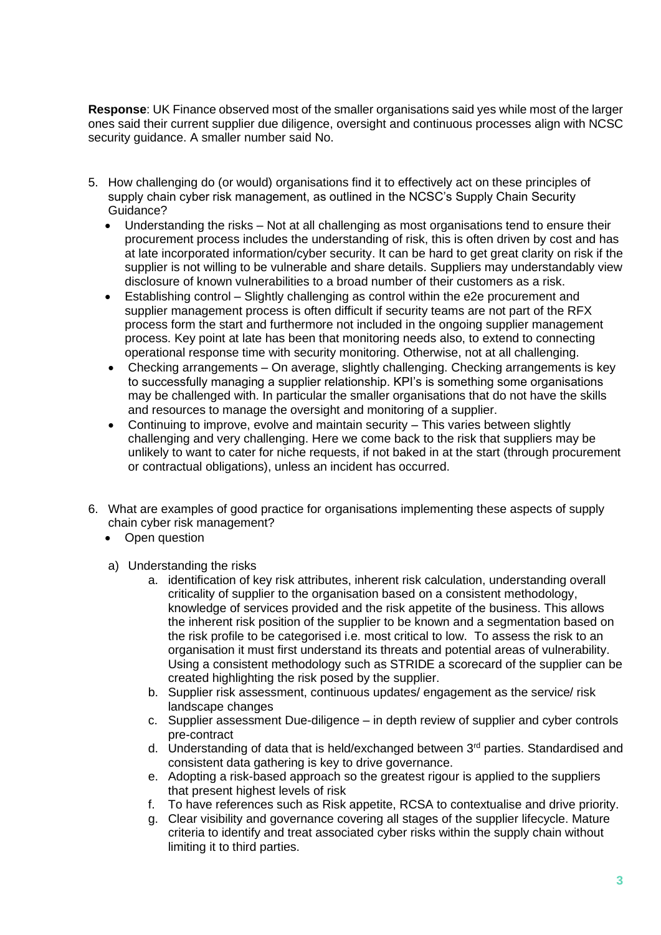**Response**: UK Finance observed most of the smaller organisations said yes while most of the larger ones said their current supplier due diligence, oversight and continuous processes align with NCSC security guidance. A smaller number said No.

- 5. How challenging do (or would) organisations find it to effectively act on these principles of supply chain cyber risk management, as outlined in the NCSC's Supply Chain Security Guidance?
	- Understanding the risks Not at all challenging as most organisations tend to ensure their procurement process includes the understanding of risk, this is often driven by cost and has at late incorporated information/cyber security. It can be hard to get great clarity on risk if the supplier is not willing to be vulnerable and share details. Suppliers may understandably view disclosure of known vulnerabilities to a broad number of their customers as a risk.
	- Establishing control Slightly challenging as control within the e2e procurement and supplier management process is often difficult if security teams are not part of the RFX process form the start and furthermore not included in the ongoing supplier management process. Key point at late has been that monitoring needs also, to extend to connecting operational response time with security monitoring. Otherwise, not at all challenging.
	- Checking arrangements On average, slightly challenging. Checking arrangements is key to successfully managing a supplier relationship. KPI's is something some organisations may be challenged with. In particular the smaller organisations that do not have the skills and resources to manage the oversight and monitoring of a supplier.
	- Continuing to improve, evolve and maintain security This varies between slightly challenging and very challenging. Here we come back to the risk that suppliers may be unlikely to want to cater for niche requests, if not baked in at the start (through procurement or contractual obligations), unless an incident has occurred.
- 6. What are examples of good practice for organisations implementing these aspects of supply chain cyber risk management?
	- Open question
	- a) Understanding the risks
		- a. identification of key risk attributes, inherent risk calculation, understanding overall criticality of supplier to the organisation based on a consistent methodology, knowledge of services provided and the risk appetite of the business. This allows the inherent risk position of the supplier to be known and a segmentation based on the risk profile to be categorised i.e. most critical to low. To assess the risk to an organisation it must first understand its threats and potential areas of vulnerability. Using a consistent methodology such as STRIDE a scorecard of the supplier can be created highlighting the risk posed by the supplier.
		- b. Supplier risk assessment, continuous updates/ engagement as the service/ risk landscape changes
		- c. Supplier assessment Due-diligence in depth review of supplier and cyber controls pre-contract
		- d. Understanding of data that is held/exchanged between 3<sup>rd</sup> parties. Standardised and consistent data gathering is key to drive governance.
		- e. Adopting a risk-based approach so the greatest rigour is applied to the suppliers that present highest levels of risk
		- f. To have references such as Risk appetite, RCSA to contextualise and drive priority.
		- g. Clear visibility and governance covering all stages of the supplier lifecycle. Mature criteria to identify and treat associated cyber risks within the supply chain without limiting it to third parties.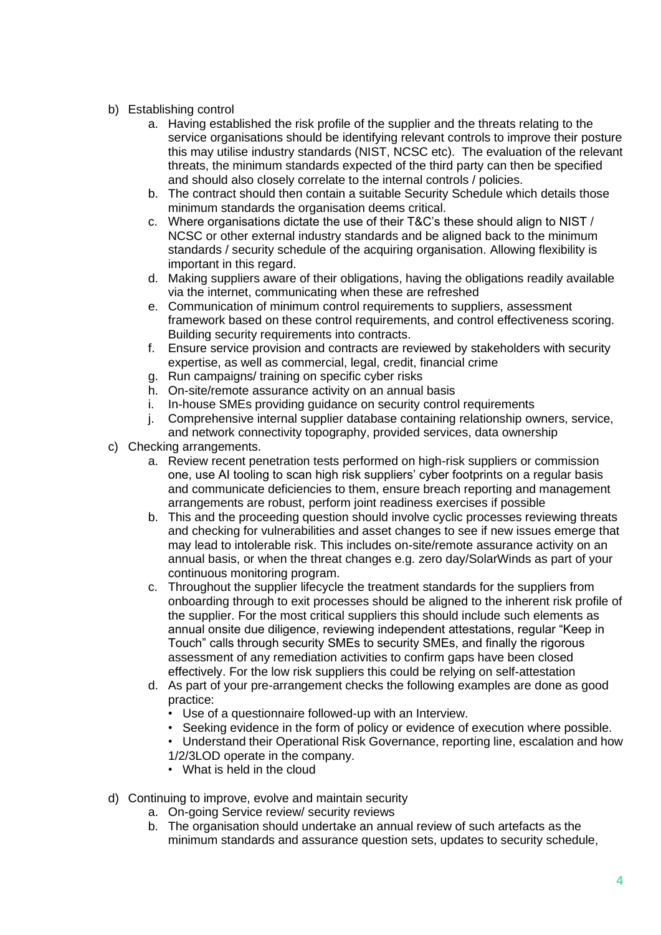# b) Establishing control

- a. Having established the risk profile of the supplier and the threats relating to the service organisations should be identifying relevant controls to improve their posture this may utilise industry standards (NIST, NCSC etc). The evaluation of the relevant threats, the minimum standards expected of the third party can then be specified and should also closely correlate to the internal controls / policies.
- b. The contract should then contain a suitable Security Schedule which details those minimum standards the organisation deems critical.
- c. Where organisations dictate the use of their T&C's these should align to NIST / NCSC or other external industry standards and be aligned back to the minimum standards / security schedule of the acquiring organisation. Allowing flexibility is important in this regard.
- d. Making suppliers aware of their obligations, having the obligations readily available via the internet, communicating when these are refreshed
- e. Communication of minimum control requirements to suppliers, assessment framework based on these control requirements, and control effectiveness scoring. Building security requirements into contracts.
- f. Ensure service provision and contracts are reviewed by stakeholders with security expertise, as well as commercial, legal, credit, financial crime
- g. Run campaigns/ training on specific cyber risks
- h. On-site/remote assurance activity on an annual basis
- i. In-house SMEs providing guidance on security control requirements
- j. Comprehensive internal supplier database containing relationship owners, service,
- and network connectivity topography, provided services, data ownership
- c) Checking arrangements.
	- a. Review recent penetration tests performed on high-risk suppliers or commission one, use AI tooling to scan high risk suppliers' cyber footprints on a regular basis and communicate deficiencies to them, ensure breach reporting and management arrangements are robust, perform joint readiness exercises if possible
	- b. This and the proceeding question should involve cyclic processes reviewing threats and checking for vulnerabilities and asset changes to see if new issues emerge that may lead to intolerable risk. This includes on-site/remote assurance activity on an annual basis, or when the threat changes e.g. zero day/SolarWinds as part of your continuous monitoring program.
	- c. Throughout the supplier lifecycle the treatment standards for the suppliers from onboarding through to exit processes should be aligned to the inherent risk profile of the supplier. For the most critical suppliers this should include such elements as annual onsite due diligence, reviewing independent attestations, regular "Keep in Touch" calls through security SMEs to security SMEs, and finally the rigorous assessment of any remediation activities to confirm gaps have been closed effectively. For the low risk suppliers this could be relying on self-attestation
	- d. As part of your pre-arrangement checks the following examples are done as good practice:
		- Use of a questionnaire followed-up with an Interview.
		- Seeking evidence in the form of policy or evidence of execution where possible.
		- Understand their Operational Risk Governance, reporting line, escalation and how 1/2/3LOD operate in the company.
		- What is held in the cloud
- d) Continuing to improve, evolve and maintain security
	- a. On-going Service review/ security reviews
	- b. The organisation should undertake an annual review of such artefacts as the minimum standards and assurance question sets, updates to security schedule,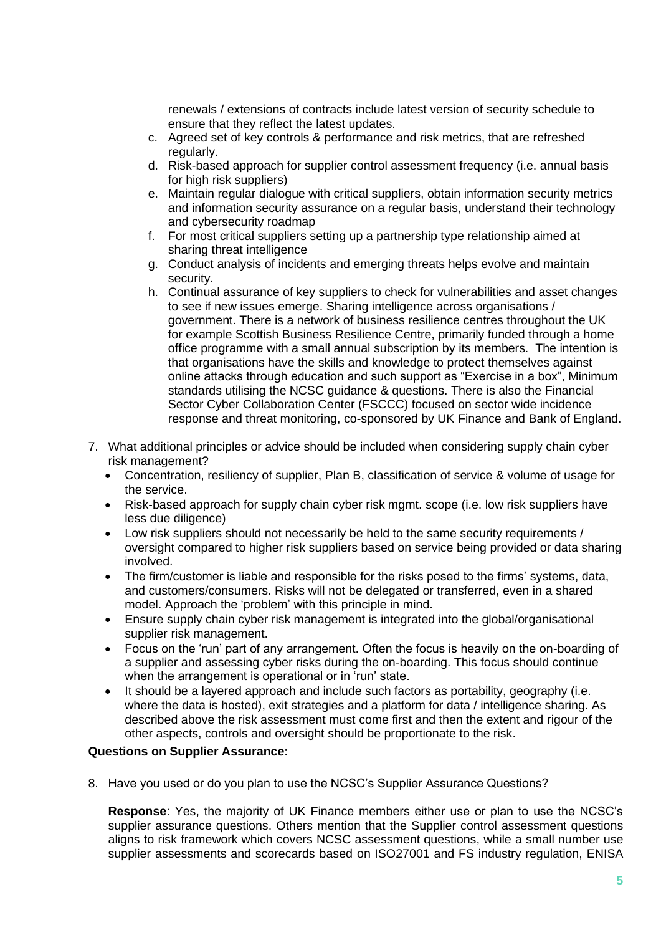renewals / extensions of contracts include latest version of security schedule to ensure that they reflect the latest updates.

- c. Agreed set of key controls & performance and risk metrics, that are refreshed regularly.
- d. Risk-based approach for supplier control assessment frequency (i.e. annual basis for high risk suppliers)
- e. Maintain regular dialogue with critical suppliers, obtain information security metrics and information security assurance on a regular basis, understand their technology and cybersecurity roadmap
- f. For most critical suppliers setting up a partnership type relationship aimed at sharing threat intelligence
- g. Conduct analysis of incidents and emerging threats helps evolve and maintain security.
- h. Continual assurance of key suppliers to check for vulnerabilities and asset changes to see if new issues emerge. Sharing intelligence across organisations / government. There is a network of business resilience centres throughout the UK for example Scottish Business Resilience Centre, primarily funded through a home office programme with a small annual subscription by its members. The intention is that organisations have the skills and knowledge to protect themselves against online attacks through education and such support as "Exercise in a box", Minimum standards utilising the NCSC guidance & questions. There is also the Financial Sector Cyber Collaboration Center (FSCCC) focused on sector wide incidence response and threat monitoring, co-sponsored by UK Finance and Bank of England.
- 7. What additional principles or advice should be included when considering supply chain cyber risk management?
	- Concentration, resiliency of supplier, Plan B, classification of service & volume of usage for the service.
	- Risk-based approach for supply chain cyber risk mgmt. scope (i.e. low risk suppliers have less due diligence)
	- Low risk suppliers should not necessarily be held to the same security requirements / oversight compared to higher risk suppliers based on service being provided or data sharing involved.
	- The firm/customer is liable and responsible for the risks posed to the firms' systems, data, and customers/consumers. Risks will not be delegated or transferred, even in a shared model. Approach the 'problem' with this principle in mind.
	- Ensure supply chain cyber risk management is integrated into the global/organisational supplier risk management.
	- Focus on the 'run' part of any arrangement. Often the focus is heavily on the on-boarding of a supplier and assessing cyber risks during the on-boarding. This focus should continue when the arrangement is operational or in 'run' state.
	- It should be a layered approach and include such factors as portability, geography (i.e. where the data is hosted), exit strategies and a platform for data / intelligence sharing. As described above the risk assessment must come first and then the extent and rigour of the other aspects, controls and oversight should be proportionate to the risk.

#### **Questions on Supplier Assurance:**

8. Have you used or do you plan to use the NCSC's Supplier Assurance Questions?

**Response**: Yes, the majority of UK Finance members either use or plan to use the NCSC's supplier assurance questions. Others mention that the Supplier control assessment questions aligns to risk framework which covers NCSC assessment questions, while a small number use supplier assessments and scorecards based on ISO27001 and FS industry regulation, ENISA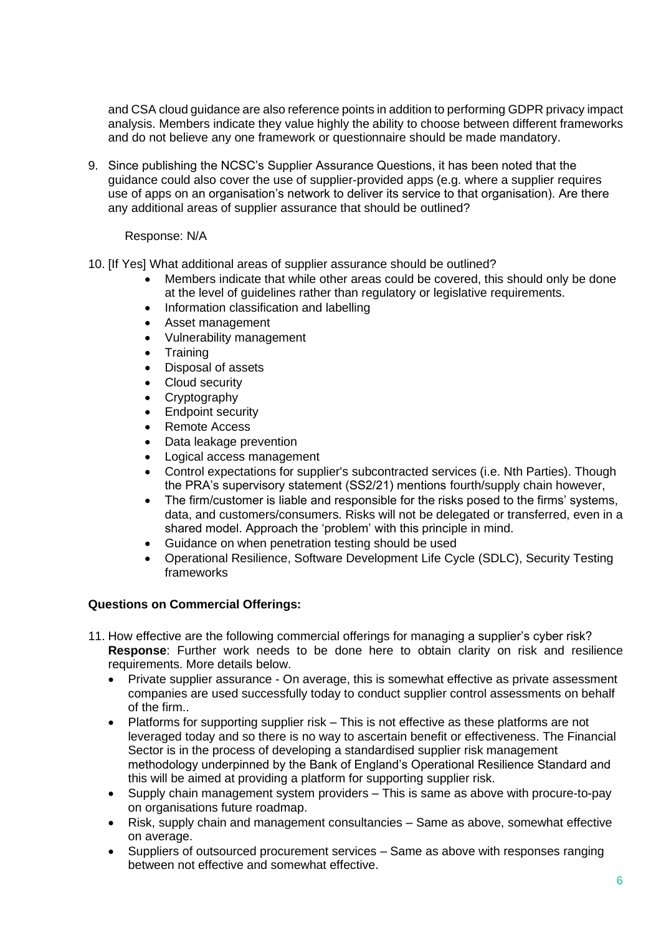and CSA cloud guidance are also reference points in addition to performing GDPR privacy impact analysis. Members indicate they value highly the ability to choose between different frameworks and do not believe any one framework or questionnaire should be made mandatory.

9. Since publishing the NCSC's Supplier Assurance Questions, it has been noted that the guidance could also cover the use of supplier-provided apps (e.g. where a supplier requires use of apps on an organisation's network to deliver its service to that organisation). Are there any additional areas of supplier assurance that should be outlined?

#### Response: N/A

- 10. [If Yes] What additional areas of supplier assurance should be outlined?
	- Members indicate that while other areas could be covered, this should only be done at the level of guidelines rather than regulatory or legislative requirements.
	- Information classification and labelling
	- Asset management
	- Vulnerability management
	- **Training**
	- Disposal of assets
	- Cloud security
	- **Cryptography**
	- **Endpoint security**
	- Remote Access
	- Data leakage prevention
	- Logical access management
	- Control expectations for supplier's subcontracted services (i.e. Nth Parties). Though the PRA's supervisory statement (SS2/21) mentions fourth/supply chain however,
	- The firm/customer is liable and responsible for the risks posed to the firms' systems, data, and customers/consumers. Risks will not be delegated or transferred, even in a shared model. Approach the 'problem' with this principle in mind.
	- Guidance on when penetration testing should be used
	- Operational Resilience, Software Development Life Cycle (SDLC), Security Testing frameworks

# **Questions on Commercial Offerings:**

- 11. How effective are the following commercial offerings for managing a supplier's cyber risk? **Response**: Further work needs to be done here to obtain clarity on risk and resilience requirements. More details below.
	- Private supplier assurance On average, this is somewhat effective as private assessment companies are used successfully today to conduct supplier control assessments on behalf of the firm..
	- Platforms for supporting supplier risk This is not effective as these platforms are not leveraged today and so there is no way to ascertain benefit or effectiveness. The Financial Sector is in the process of developing a standardised supplier risk management methodology underpinned by the Bank of England's Operational Resilience Standard and this will be aimed at providing a platform for supporting supplier risk.
	- Supply chain management system providers This is same as above with procure-to-pay on organisations future roadmap.
	- Risk, supply chain and management consultancies Same as above, somewhat effective on average.
	- Suppliers of outsourced procurement services Same as above with responses ranging between not effective and somewhat effective.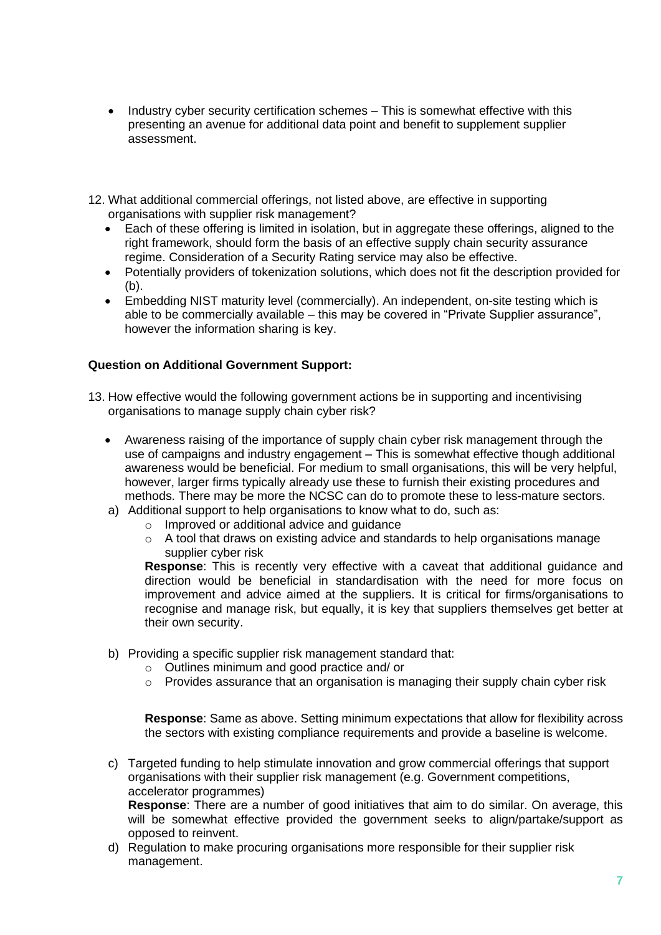- Industry cyber security certification schemes This is somewhat effective with this presenting an avenue for additional data point and benefit to supplement supplier assessment.
- 12. What additional commercial offerings, not listed above, are effective in supporting organisations with supplier risk management?
	- Each of these offering is limited in isolation, but in aggregate these offerings, aligned to the right framework, should form the basis of an effective supply chain security assurance regime. Consideration of a Security Rating service may also be effective.
	- Potentially providers of tokenization solutions, which does not fit the description provided for (b).
	- Embedding NIST maturity level (commercially). An independent, on-site testing which is able to be commercially available – this may be covered in "Private Supplier assurance", however the information sharing is key.

#### **Question on Additional Government Support:**

- 13. How effective would the following government actions be in supporting and incentivising organisations to manage supply chain cyber risk?
	- Awareness raising of the importance of supply chain cyber risk management through the use of campaigns and industry engagement – This is somewhat effective though additional awareness would be beneficial. For medium to small organisations, this will be very helpful, however, larger firms typically already use these to furnish their existing procedures and methods. There may be more the NCSC can do to promote these to less-mature sectors.
	- a) Additional support to help organisations to know what to do, such as:
		- o Improved or additional advice and guidance
		- $\circ$  A tool that draws on existing advice and standards to help organisations manage supplier cyber risk

**Response:** This is recently very effective with a caveat that additional guidance and direction would be beneficial in standardisation with the need for more focus on improvement and advice aimed at the suppliers. It is critical for firms/organisations to recognise and manage risk, but equally, it is key that suppliers themselves get better at their own security.

- b) Providing a specific supplier risk management standard that:
	- o Outlines minimum and good practice and/ or
	- $\circ$  Provides assurance that an organisation is managing their supply chain cyber risk

**Response**: Same as above. Setting minimum expectations that allow for flexibility across the sectors with existing compliance requirements and provide a baseline is welcome.

c) Targeted funding to help stimulate innovation and grow commercial offerings that support organisations with their supplier risk management (e.g. Government competitions, accelerator programmes)

**Response**: There are a number of good initiatives that aim to do similar. On average, this will be somewhat effective provided the government seeks to align/partake/support as opposed to reinvent.

d) Regulation to make procuring organisations more responsible for their supplier risk management.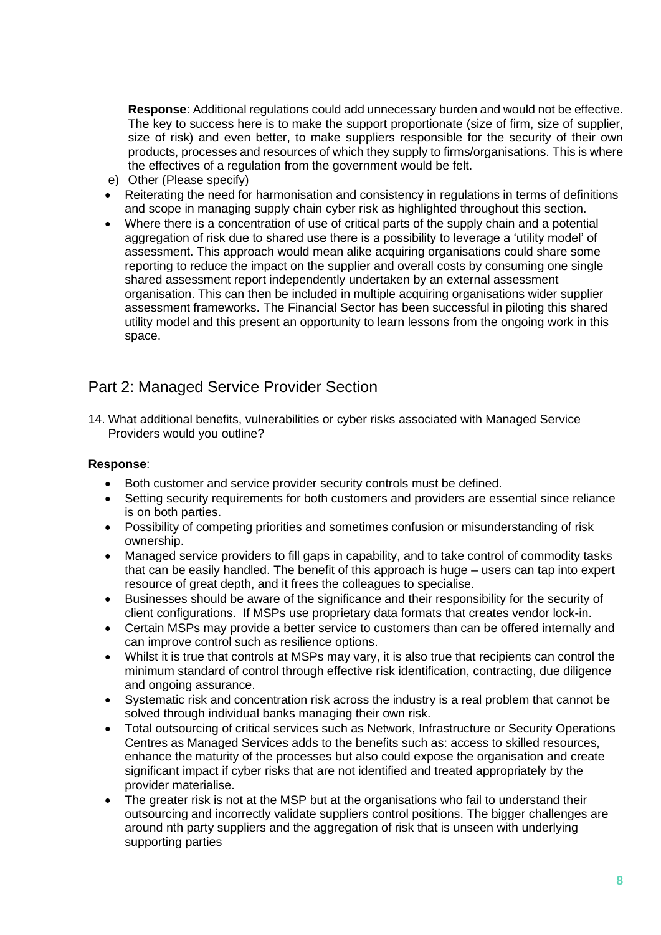**Response**: Additional regulations could add unnecessary burden and would not be effective. The key to success here is to make the support proportionate (size of firm, size of supplier, size of risk) and even better, to make suppliers responsible for the security of their own products, processes and resources of which they supply to firms/organisations. This is where the effectives of a regulation from the government would be felt.

- e) Other (Please specify)
- Reiterating the need for harmonisation and consistency in regulations in terms of definitions and scope in managing supply chain cyber risk as highlighted throughout this section.
- Where there is a concentration of use of critical parts of the supply chain and a potential aggregation of risk due to shared use there is a possibility to leverage a 'utility model' of assessment. This approach would mean alike acquiring organisations could share some reporting to reduce the impact on the supplier and overall costs by consuming one single shared assessment report independently undertaken by an external assessment organisation. This can then be included in multiple acquiring organisations wider supplier assessment frameworks. The Financial Sector has been successful in piloting this shared utility model and this present an opportunity to learn lessons from the ongoing work in this space.

# Part 2: Managed Service Provider Section

14. What additional benefits, vulnerabilities or cyber risks associated with Managed Service Providers would you outline?

#### **Response**:

- Both customer and service provider security controls must be defined.
- Setting security requirements for both customers and providers are essential since reliance is on both parties.
- Possibility of competing priorities and sometimes confusion or misunderstanding of risk ownership.
- Managed service providers to fill gaps in capability, and to take control of commodity tasks that can be easily handled. The benefit of this approach is huge – users can tap into expert resource of great depth, and it frees the colleagues to specialise.
- Businesses should be aware of the significance and their responsibility for the security of client configurations. If MSPs use proprietary data formats that creates vendor lock-in.
- Certain MSPs may provide a better service to customers than can be offered internally and can improve control such as resilience options.
- Whilst it is true that controls at MSPs may vary, it is also true that recipients can control the minimum standard of control through effective risk identification, contracting, due diligence and ongoing assurance.
- Systematic risk and concentration risk across the industry is a real problem that cannot be solved through individual banks managing their own risk.
- Total outsourcing of critical services such as Network, Infrastructure or Security Operations Centres as Managed Services adds to the benefits such as: access to skilled resources, enhance the maturity of the processes but also could expose the organisation and create significant impact if cyber risks that are not identified and treated appropriately by the provider materialise.
- The greater risk is not at the MSP but at the organisations who fail to understand their outsourcing and incorrectly validate suppliers control positions. The bigger challenges are around nth party suppliers and the aggregation of risk that is unseen with underlying supporting parties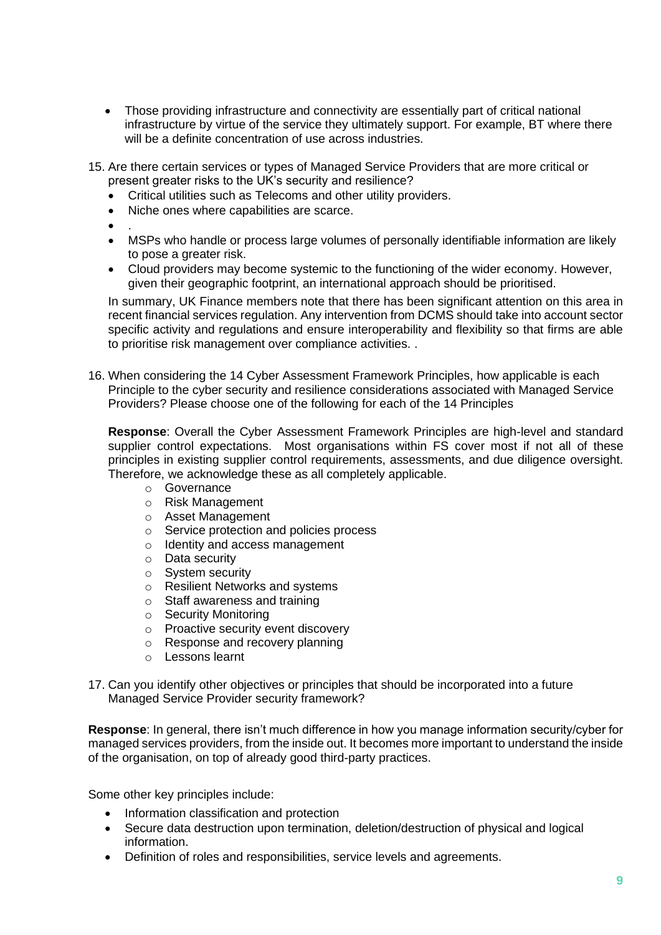- Those providing infrastructure and connectivity are essentially part of critical national infrastructure by virtue of the service they ultimately support. For example, BT where there will be a definite concentration of use across industries.
- 15. Are there certain services or types of Managed Service Providers that are more critical or present greater risks to the UK's security and resilience?
	- Critical utilities such as Telecoms and other utility providers.
	- Niche ones where capabilities are scarce.
	- .
	- MSPs who handle or process large volumes of personally identifiable information are likely to pose a greater risk.
	- Cloud providers may become systemic to the functioning of the wider economy. However, given their geographic footprint, an international approach should be prioritised.

In summary, UK Finance members note that there has been significant attention on this area in recent financial services regulation. Any intervention from DCMS should take into account sector specific activity and regulations and ensure interoperability and flexibility so that firms are able to prioritise risk management over compliance activities. .

16. When considering the 14 Cyber Assessment Framework Principles, how applicable is each Principle to the cyber security and resilience considerations associated with Managed Service Providers? Please choose one of the following for each of the 14 Principles

**Response**: Overall the Cyber Assessment Framework Principles are high-level and standard supplier control expectations. Most organisations within FS cover most if not all of these principles in existing supplier control requirements, assessments, and due diligence oversight. Therefore, we acknowledge these as all completely applicable.

- o Governance
- o Risk Management
- o Asset Management
- o Service protection and policies process
- o Identity and access management
- o Data security
- o System security
- o Resilient Networks and systems
- o Staff awareness and training
- o Security Monitoring
- o Proactive security event discovery
- o Response and recovery planning
- o Lessons learnt
- 17. Can you identify other objectives or principles that should be incorporated into a future Managed Service Provider security framework?

**Response**: In general, there isn't much difference in how you manage information security/cyber for managed services providers, from the inside out. It becomes more important to understand the inside of the organisation, on top of already good third-party practices.

Some other key principles include:

- Information classification and protection
- Secure data destruction upon termination, deletion/destruction of physical and logical information.
- Definition of roles and responsibilities, service levels and agreements.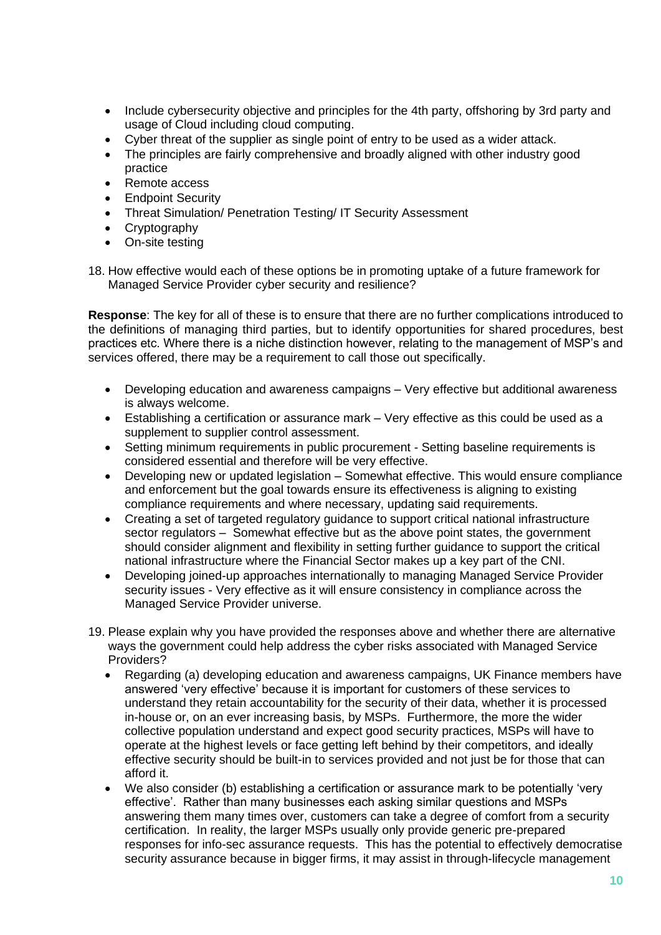- Include cybersecurity objective and principles for the 4th party, offshoring by 3rd party and usage of Cloud including cloud computing.
- Cyber threat of the supplier as single point of entry to be used as a wider attack.
- The principles are fairly comprehensive and broadly aligned with other industry good practice
- Remote access
- **Endpoint Security**
- Threat Simulation/ Penetration Testing/ IT Security Assessment
- **Cryptography**
- On-site testing

18. How effective would each of these options be in promoting uptake of a future framework for Managed Service Provider cyber security and resilience?

**Response**: The key for all of these is to ensure that there are no further complications introduced to the definitions of managing third parties, but to identify opportunities for shared procedures, best practices etc. Where there is a niche distinction however, relating to the management of MSP's and services offered, there may be a requirement to call those out specifically.

- Developing education and awareness campaigns Very effective but additional awareness is always welcome.
- Establishing a certification or assurance mark Very effective as this could be used as a supplement to supplier control assessment.
- Setting minimum requirements in public procurement Setting baseline requirements is considered essential and therefore will be very effective.
- Developing new or updated legislation Somewhat effective. This would ensure compliance and enforcement but the goal towards ensure its effectiveness is aligning to existing compliance requirements and where necessary, updating said requirements.
- Creating a set of targeted regulatory guidance to support critical national infrastructure sector regulators – Somewhat effective but as the above point states, the government should consider alignment and flexibility in setting further guidance to support the critical national infrastructure where the Financial Sector makes up a key part of the CNI.
- Developing joined-up approaches internationally to managing Managed Service Provider security issues - Very effective as it will ensure consistency in compliance across the Managed Service Provider universe.
- 19. Please explain why you have provided the responses above and whether there are alternative ways the government could help address the cyber risks associated with Managed Service Providers?
	- Regarding (a) developing education and awareness campaigns, UK Finance members have answered 'very effective' because it is important for customers of these services to understand they retain accountability for the security of their data, whether it is processed in-house or, on an ever increasing basis, by MSPs. Furthermore, the more the wider collective population understand and expect good security practices, MSPs will have to operate at the highest levels or face getting left behind by their competitors, and ideally effective security should be built-in to services provided and not just be for those that can afford it.
	- We also consider (b) establishing a certification or assurance mark to be potentially 'very effective'. Rather than many businesses each asking similar questions and MSPs answering them many times over, customers can take a degree of comfort from a security certification. In reality, the larger MSPs usually only provide generic pre-prepared responses for info-sec assurance requests. This has the potential to effectively democratise security assurance because in bigger firms, it may assist in through-lifecycle management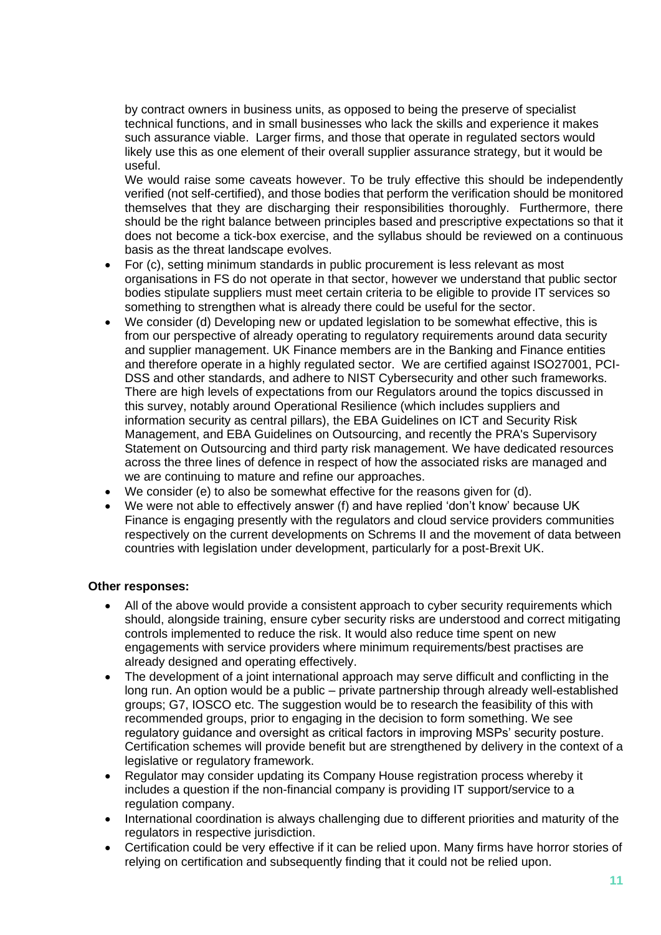by contract owners in business units, as opposed to being the preserve of specialist technical functions, and in small businesses who lack the skills and experience it makes such assurance viable. Larger firms, and those that operate in regulated sectors would likely use this as one element of their overall supplier assurance strategy, but it would be useful.

We would raise some caveats however. To be truly effective this should be independently verified (not self-certified), and those bodies that perform the verification should be monitored themselves that they are discharging their responsibilities thoroughly. Furthermore, there should be the right balance between principles based and prescriptive expectations so that it does not become a tick-box exercise, and the syllabus should be reviewed on a continuous basis as the threat landscape evolves.

- For (c), setting minimum standards in public procurement is less relevant as most organisations in FS do not operate in that sector, however we understand that public sector bodies stipulate suppliers must meet certain criteria to be eligible to provide IT services so something to strengthen what is already there could be useful for the sector.
- We consider (d) Developing new or updated legislation to be somewhat effective, this is from our perspective of already operating to regulatory requirements around data security and supplier management. UK Finance members are in the Banking and Finance entities and therefore operate in a highly regulated sector. We are certified against ISO27001, PCI-DSS and other standards, and adhere to NIST Cybersecurity and other such frameworks. There are high levels of expectations from our Regulators around the topics discussed in this survey, notably around Operational Resilience (which includes suppliers and information security as central pillars), the EBA Guidelines on ICT and Security Risk Management, and EBA Guidelines on Outsourcing, and recently the PRA's Supervisory Statement on Outsourcing and third party risk management. We have dedicated resources across the three lines of defence in respect of how the associated risks are managed and we are continuing to mature and refine our approaches.
- We consider (e) to also be somewhat effective for the reasons given for (d).
- We were not able to effectively answer (f) and have replied 'don't know' because UK Finance is engaging presently with the regulators and cloud service providers communities respectively on the current developments on Schrems II and the movement of data between countries with legislation under development, particularly for a post-Brexit UK.

# **Other responses:**

- All of the above would provide a consistent approach to cyber security requirements which should, alongside training, ensure cyber security risks are understood and correct mitigating controls implemented to reduce the risk. It would also reduce time spent on new engagements with service providers where minimum requirements/best practises are already designed and operating effectively.
- The development of a joint international approach may serve difficult and conflicting in the long run. An option would be a public – private partnership through already well-established groups; G7, IOSCO etc. The suggestion would be to research the feasibility of this with recommended groups, prior to engaging in the decision to form something. We see regulatory guidance and oversight as critical factors in improving MSPs' security posture. Certification schemes will provide benefit but are strengthened by delivery in the context of a legislative or regulatory framework.
- Regulator may consider updating its Company House registration process whereby it includes a question if the non-financial company is providing IT support/service to a regulation company.
- International coordination is always challenging due to different priorities and maturity of the regulators in respective jurisdiction.
- Certification could be very effective if it can be relied upon. Many firms have horror stories of relying on certification and subsequently finding that it could not be relied upon.